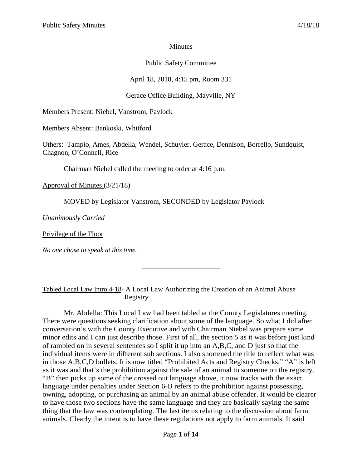### **Minutes**

# Public Safety Committee

April 18, 2018, 4:15 pm, Room 331

# Gerace Office Building, Mayville, NY

Members Present: Niebel, Vanstrom, Pavlock

Members Absent: Bankoski, Whitford

Others: Tampio, Ames, Abdella, Wendel, Schuyler, Gerace, Dennison, Borrello, Sundquist, Chagnon, O'Connell, Rice

Chairman Niebel called the meeting to order at 4:16 p.m.

Approval of Minutes (3/21/18)

MOVED by Legislator Vanstrom, SECONDED by Legislator Pavlock

*Unanimously Carried*

Privilege of the Floor

*No one chose to speak at this time.*

Tabled Local Law Intro 4-18- A Local Law Authorizing the Creation of an Animal Abuse Registry

\_\_\_\_\_\_\_\_\_\_\_\_\_\_\_\_\_\_\_\_\_\_

Mr. Abdella: This Local Law had been tabled at the County Legislatures meeting. There were questions seeking clarification about some of the language. So what I did after conversation's with the County Executive and with Chairman Niebel was prepare some minor edits and I can just describe those. First of all, the section 5 as it was before just kind of rambled on in several sentences so I split it up into an A,B,C, and D just so that the individual items were in different sub sections. I also shortened the title to reflect what was in those A,B,C,D bullets. It is now titled "Prohibited Acts and Registry Checks." "A" is left as it was and that's the prohibition against the sale of an animal to someone on the registry. "B" then picks up some of the crossed out language above, it now tracks with the exact language under penalties under Section 6-B refers to the prohibition against possessing, owning, adopting, or purchasing an animal by an animal abuse offender. It would be clearer to have those two sections have the same language and they are basically saying the same thing that the law was contemplating. The last items relating to the discussion about farm animals. Clearly the intent is to have these regulations not apply to farm animals. It said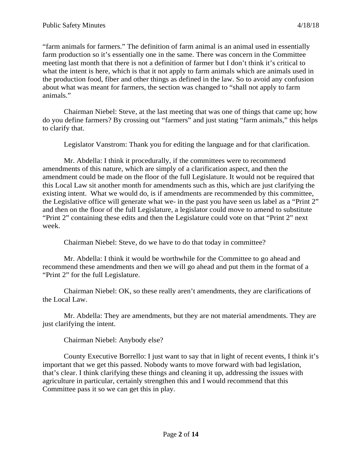"farm animals for farmers." The definition of farm animal is an animal used in essentially farm production so it's essentially one in the same. There was concern in the Committee meeting last month that there is not a definition of farmer but I don't think it's critical to what the intent is here, which is that it not apply to farm animals which are animals used in the production food, fiber and other things as defined in the law. So to avoid any confusion about what was meant for farmers, the section was changed to "shall not apply to farm animals."

Chairman Niebel: Steve, at the last meeting that was one of things that came up; how do you define farmers? By crossing out "farmers" and just stating "farm animals," this helps to clarify that.

Legislator Vanstrom: Thank you for editing the language and for that clarification.

Mr. Abdella: I think it procedurally, if the committees were to recommend amendments of this nature, which are simply of a clarification aspect, and then the amendment could be made on the floor of the full Legislature. It would not be required that this Local Law sit another month for amendments such as this, which are just clarifying the existing intent. What we would do, is if amendments are recommended by this committee, the Legislative office will generate what we- in the past you have seen us label as a "Print 2" and then on the floor of the full Legislature, a legislator could move to amend to substitute "Print 2" containing these edits and then the Legislature could vote on that "Print 2" next week.

Chairman Niebel: Steve, do we have to do that today in committee?

Mr. Abdella: I think it would be worthwhile for the Committee to go ahead and recommend these amendments and then we will go ahead and put them in the format of a "Print 2" for the full Legislature.

Chairman Niebel: OK, so these really aren't amendments, they are clarifications of the Local Law.

Mr. Abdella: They are amendments, but they are not material amendments. They are just clarifying the intent.

Chairman Niebel: Anybody else?

County Executive Borrello: I just want to say that in light of recent events, I think it's important that we get this passed. Nobody wants to move forward with bad legislation, that's clear. I think clarifying these things and cleaning it up, addressing the issues with agriculture in particular, certainly strengthen this and I would recommend that this Committee pass it so we can get this in play.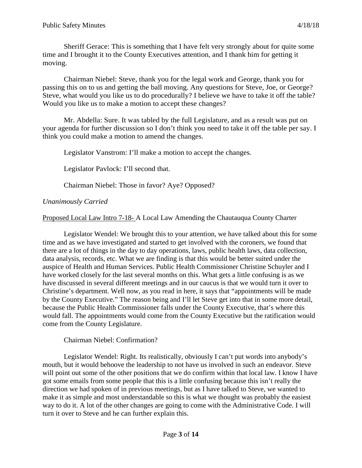Sheriff Gerace: This is something that I have felt very strongly about for quite some time and I brought it to the County Executives attention, and I thank him for getting it moving.

Chairman Niebel: Steve, thank you for the legal work and George, thank you for passing this on to us and getting the ball moving. Any questions for Steve, Joe, or George? Steve, what would you like us to do procedurally? I believe we have to take it off the table? Would you like us to make a motion to accept these changes?

Mr. Abdella: Sure. It was tabled by the full Legislature, and as a result was put on your agenda for further discussion so I don't think you need to take it off the table per say. I think you could make a motion to amend the changes.

Legislator Vanstrom: I'll make a motion to accept the changes.

Legislator Pavlock: I'll second that.

Chairman Niebel: Those in favor? Aye? Opposed?

### *Unanimously Carried*

Proposed Local Law Intro 7-18- A Local Law Amending the Chautauqua County Charter

Legislator Wendel: We brought this to your attention, we have talked about this for some time and as we have investigated and started to get involved with the coroners, we found that there are a lot of things in the day to day operations, laws, public health laws, data collection, data analysis, records, etc. What we are finding is that this would be better suited under the auspice of Health and Human Services. Public Health Commissioner Christine Schuyler and I have worked closely for the last several months on this. What gets a little confusing is as we have discussed in several different meetings and in our caucus is that we would turn it over to Christine's department. Well now, as you read in here, it says that "appointments will be made by the County Executive." The reason being and I'll let Steve get into that in some more detail, because the Public Health Commissioner falls under the County Executive, that's where this would fall. The appointments would come from the County Executive but the ratification would come from the County Legislature.

Chairman Niebel: Confirmation?

Legislator Wendel: Right. Its realistically, obviously I can't put words into anybody's mouth, but it would behoove the leadership to not have us involved in such an endeavor. Steve will point out some of the other positions that we do confirm within that local law. I know I have got some emails from some people that this is a little confusing because this isn't really the direction we had spoken of in previous meetings, but as I have talked to Steve, we wanted to make it as simple and most understandable so this is what we thought was probably the easiest way to do it. A lot of the other changes are going to come with the Administrative Code. I will turn it over to Steve and he can further explain this.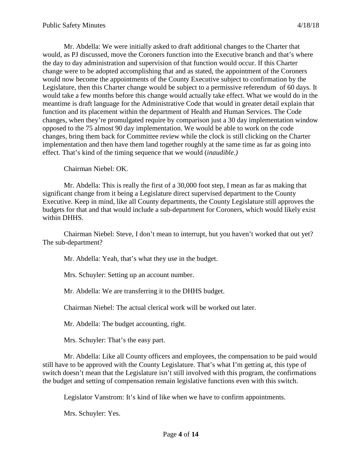Mr. Abdella: We were initially asked to draft additional changes to the Charter that would, as PJ discussed, move the Coroners function into the Executive branch and that's where the day to day administration and supervision of that function would occur. If this Charter change were to be adopted accomplishing that and as stated, the appointment of the Coroners would now become the appointments of the County Executive subject to confirmation by the Legislature, then this Charter change would be subject to a permissive referendum of 60 days. It would take a few months before this change would actually take effect. What we would do in the meantime is draft language for the Administrative Code that would in greater detail explain that function and its placement within the department of Health and Human Services. The Code changes, when they're promulgated require by comparison just a 30 day implementation window opposed to the 75 almost 90 day implementation. We would be able to work on the code changes, bring them back for Committee review while the clock is still clicking on the Charter implementation and then have them land together roughly at the same time as far as going into effect. That's kind of the timing sequence that we would (*inaudible.)*

Chairman Niebel: OK.

Mr. Abdella: This is really the first of a 30,000 foot step, I mean as far as making that significant change from it being a Legislature direct supervised department to the County Executive. Keep in mind, like all County departments, the County Legislature still approves the budgets for that and that would include a sub-department for Coroners, which would likely exist within DHHS.

Chairman Niebel: Steve, I don't mean to interrupt, but you haven't worked that out yet? The sub-department?

Mr. Abdella: Yeah, that's what they use in the budget.

Mrs. Schuyler: Setting up an account number.

Mr. Abdella: We are transferring it to the DHHS budget.

Chairman Niebel: The actual clerical work will be worked out later.

Mr. Abdella: The budget accounting, right.

Mrs. Schuyler: That's the easy part.

Mr. Abdella: Like all County officers and employees, the compensation to be paid would still have to be approved with the County Legislature. That's what I'm getting at, this type of switch doesn't mean that the Legislature isn't still involved with this program, the confirmations the budget and setting of compensation remain legislative functions even with this switch.

Legislator Vanstrom: It's kind of like when we have to confirm appointments.

Mrs. Schuyler: Yes.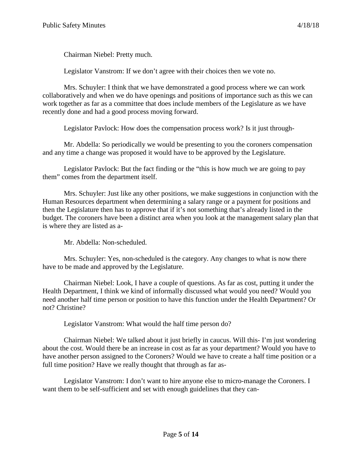Chairman Niebel: Pretty much.

Legislator Vanstrom: If we don't agree with their choices then we vote no.

Mrs. Schuyler: I think that we have demonstrated a good process where we can work collaboratively and when we do have openings and positions of importance such as this we can work together as far as a committee that does include members of the Legislature as we have recently done and had a good process moving forward.

Legislator Pavlock: How does the compensation process work? Is it just through-

Mr. Abdella: So periodically we would be presenting to you the coroners compensation and any time a change was proposed it would have to be approved by the Legislature.

Legislator Pavlock: But the fact finding or the "this is how much we are going to pay them" comes from the department itself.

Mrs. Schuyler: Just like any other positions, we make suggestions in conjunction with the Human Resources department when determining a salary range or a payment for positions and then the Legislature then has to approve that if it's not something that's already listed in the budget. The coroners have been a distinct area when you look at the management salary plan that is where they are listed as a-

Mr. Abdella: Non-scheduled.

Mrs. Schuyler: Yes, non-scheduled is the category. Any changes to what is now there have to be made and approved by the Legislature.

Chairman Niebel: Look, I have a couple of questions. As far as cost, putting it under the Health Department, I think we kind of informally discussed what would you need? Would you need another half time person or position to have this function under the Health Department? Or not? Christine?

Legislator Vanstrom: What would the half time person do?

Chairman Niebel: We talked about it just briefly in caucus. Will this- I'm just wondering about the cost. Would there be an increase in cost as far as your department? Would you have to have another person assigned to the Coroners? Would we have to create a half time position or a full time position? Have we really thought that through as far as-

Legislator Vanstrom: I don't want to hire anyone else to micro-manage the Coroners. I want them to be self-sufficient and set with enough guidelines that they can-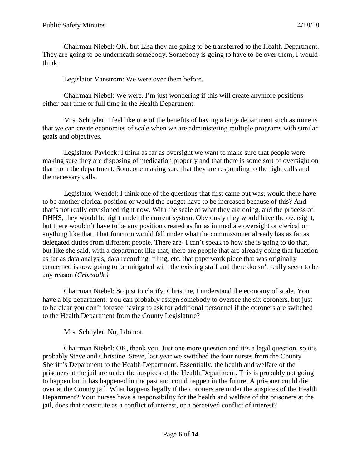Chairman Niebel: OK, but Lisa they are going to be transferred to the Health Department. They are going to be underneath somebody. Somebody is going to have to be over them, I would think.

Legislator Vanstrom: We were over them before.

Chairman Niebel: We were. I'm just wondering if this will create anymore positions either part time or full time in the Health Department.

Mrs. Schuyler: I feel like one of the benefits of having a large department such as mine is that we can create economies of scale when we are administering multiple programs with similar goals and objectives.

Legislator Pavlock: I think as far as oversight we want to make sure that people were making sure they are disposing of medication properly and that there is some sort of oversight on that from the department. Someone making sure that they are responding to the right calls and the necessary calls.

Legislator Wendel: I think one of the questions that first came out was, would there have to be another clerical position or would the budget have to be increased because of this? And that's not really envisioned right now. With the scale of what they are doing, and the process of DHHS, they would be right under the current system. Obviously they would have the oversight, but there wouldn't have to be any position created as far as immediate oversight or clerical or anything like that. That function would fall under what the commissioner already has as far as delegated duties from different people. There are- I can't speak to how she is going to do that, but like she said, with a department like that, there are people that are already doing that function as far as data analysis, data recording, filing, etc. that paperwork piece that was originally concerned is now going to be mitigated with the existing staff and there doesn't really seem to be any reason (*Crosstalk.)*

Chairman Niebel: So just to clarify, Christine, I understand the economy of scale. You have a big department. You can probably assign somebody to oversee the six coroners, but just to be clear you don't foresee having to ask for additional personnel if the coroners are switched to the Health Department from the County Legislature?

Mrs. Schuyler: No, I do not.

Chairman Niebel: OK, thank you. Just one more question and it's a legal question, so it's probably Steve and Christine. Steve, last year we switched the four nurses from the County Sheriff's Department to the Health Department. Essentially, the health and welfare of the prisoners at the jail are under the auspices of the Health Department. This is probably not going to happen but it has happened in the past and could happen in the future. A prisoner could die over at the County jail. What happens legally if the coroners are under the auspices of the Health Department? Your nurses have a responsibility for the health and welfare of the prisoners at the jail, does that constitute as a conflict of interest, or a perceived conflict of interest?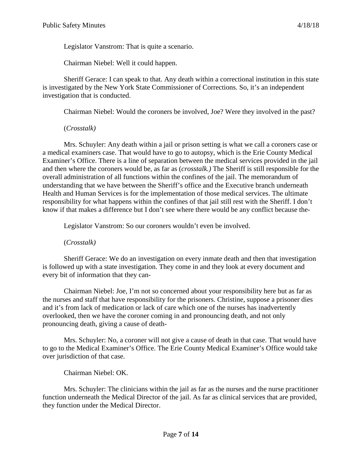Legislator Vanstrom: That is quite a scenario.

Chairman Niebel: Well it could happen.

Sheriff Gerace: I can speak to that. Any death within a correctional institution in this state is investigated by the New York State Commissioner of Corrections. So, it's an independent investigation that is conducted.

Chairman Niebel: Would the coroners be involved, Joe? Were they involved in the past?

(*Crosstalk)*

Mrs. Schuyler: Any death within a jail or prison setting is what we call a coroners case or a medical examiners case. That would have to go to autopsy, which is the Erie County Medical Examiner's Office. There is a line of separation between the medical services provided in the jail and then where the coroners would be, as far as (*crosstalk.)* The Sheriff is still responsible for the overall administration of all functions within the confines of the jail. The memorandum of understanding that we have between the Sheriff's office and the Executive branch underneath Health and Human Services is for the implementation of those medical services. The ultimate responsibility for what happens within the confines of that jail still rest with the Sheriff. I don't know if that makes a difference but I don't see where there would be any conflict because the-

Legislator Vanstrom: So our coroners wouldn't even be involved.

(*Crosstalk)*

Sheriff Gerace: We do an investigation on every inmate death and then that investigation is followed up with a state investigation. They come in and they look at every document and every bit of information that they can-

Chairman Niebel: Joe, I'm not so concerned about your responsibility here but as far as the nurses and staff that have responsibility for the prisoners. Christine, suppose a prisoner dies and it's from lack of medication or lack of care which one of the nurses has inadvertently overlooked, then we have the coroner coming in and pronouncing death, and not only pronouncing death, giving a cause of death-

Mrs. Schuyler: No, a coroner will not give a cause of death in that case. That would have to go to the Medical Examiner's Office. The Erie County Medical Examiner's Office would take over jurisdiction of that case.

Chairman Niebel: OK.

Mrs. Schuyler: The clinicians within the jail as far as the nurses and the nurse practitioner function underneath the Medical Director of the jail. As far as clinical services that are provided, they function under the Medical Director.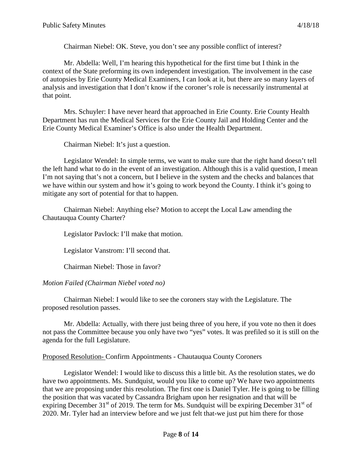Chairman Niebel: OK. Steve, you don't see any possible conflict of interest?

Mr. Abdella: Well, I'm hearing this hypothetical for the first time but I think in the context of the State preforming its own independent investigation. The involvement in the case of autopsies by Erie County Medical Examiners, I can look at it, but there are so many layers of analysis and investigation that I don't know if the coroner's role is necessarily instrumental at that point.

Mrs. Schuyler: I have never heard that approached in Erie County. Erie County Health Department has run the Medical Services for the Erie County Jail and Holding Center and the Erie County Medical Examiner's Office is also under the Health Department.

Chairman Niebel: It's just a question.

Legislator Wendel: In simple terms, we want to make sure that the right hand doesn't tell the left hand what to do in the event of an investigation. Although this is a valid question, I mean I'm not saying that's not a concern, but I believe in the system and the checks and balances that we have within our system and how it's going to work beyond the County. I think it's going to mitigate any sort of potential for that to happen.

Chairman Niebel: Anything else? Motion to accept the Local Law amending the Chautauqua County Charter?

Legislator Pavlock: I'll make that motion.

Legislator Vanstrom: I'll second that.

Chairman Niebel: Those in favor?

## *Motion Failed (Chairman Niebel voted no)*

Chairman Niebel: I would like to see the coroners stay with the Legislature. The proposed resolution passes.

Mr. Abdella: Actually, with there just being three of you here, if you vote no then it does not pass the Committee because you only have two "yes" votes. It was prefiled so it is still on the agenda for the full Legislature.

### Proposed Resolution- Confirm Appointments - Chautauqua County Coroners

Legislator Wendel: I would like to discuss this a little bit. As the resolution states, we do have two appointments. Ms. Sundquist, would you like to come up? We have two appointments that we are proposing under this resolution. The first one is Daniel Tyler. He is going to be filling the position that was vacated by Cassandra Brigham upon her resignation and that will be expiring December 31<sup>st</sup> of 2019. The term for Ms. Sundquist will be expiring December 31<sup>st</sup> of 2020. Mr. Tyler had an interview before and we just felt that-we just put him there for those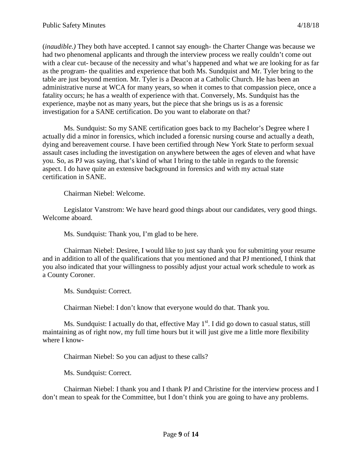(*inaudible.)* They both have accepted. I cannot say enough- the Charter Change was because we had two phenomenal applicants and through the interview process we really couldn't come out with a clear cut- because of the necessity and what's happened and what we are looking for as far as the program- the qualities and experience that both Ms. Sundquist and Mr. Tyler bring to the table are just beyond mention. Mr. Tyler is a Deacon at a Catholic Church. He has been an administrative nurse at WCA for many years, so when it comes to that compassion piece, once a fatality occurs; he has a wealth of experience with that. Conversely, Ms. Sundquist has the experience, maybe not as many years, but the piece that she brings us is as a forensic investigation for a SANE certification. Do you want to elaborate on that?

Ms. Sundquist: So my SANE certification goes back to my Bachelor's Degree where I actually did a minor in forensics, which included a forensic nursing course and actually a death, dying and bereavement course. I have been certified through New York State to perform sexual assault cases including the investigation on anywhere between the ages of eleven and what have you. So, as PJ was saying, that's kind of what I bring to the table in regards to the forensic aspect. I do have quite an extensive background in forensics and with my actual state certification in SANE.

Chairman Niebel: Welcome.

Legislator Vanstrom: We have heard good things about our candidates, very good things. Welcome aboard.

Ms. Sundquist: Thank you, I'm glad to be here.

Chairman Niebel: Desiree, I would like to just say thank you for submitting your resume and in addition to all of the qualifications that you mentioned and that PJ mentioned, I think that you also indicated that your willingness to possibly adjust your actual work schedule to work as a County Coroner.

Ms. Sundquist: Correct.

Chairman Niebel: I don't know that everyone would do that. Thank you.

Ms. Sundquist: I actually do that, effective May  $1<sup>st</sup>$ . I did go down to casual status, still maintaining as of right now, my full time hours but it will just give me a little more flexibility where I know-

Chairman Niebel: So you can adjust to these calls?

Ms. Sundquist: Correct.

Chairman Niebel: I thank you and I thank PJ and Christine for the interview process and I don't mean to speak for the Committee, but I don't think you are going to have any problems.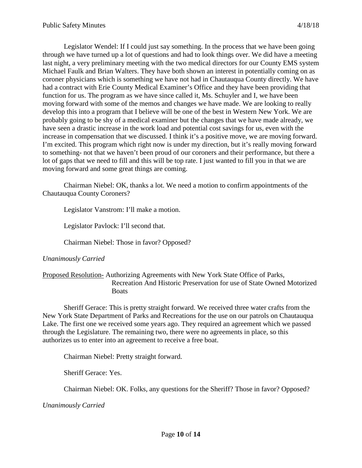Legislator Wendel: If I could just say something. In the process that we have been going through we have turned up a lot of questions and had to look things over. We did have a meeting last night, a very preliminary meeting with the two medical directors for our County EMS system Michael Faulk and Brian Walters. They have both shown an interest in potentially coming on as coroner physicians which is something we have not had in Chautauqua County directly. We have had a contract with Erie County Medical Examiner's Office and they have been providing that function for us. The program as we have since called it, Ms. Schuyler and I, we have been moving forward with some of the memos and changes we have made. We are looking to really develop this into a program that I believe will be one of the best in Western New York. We are probably going to be shy of a medical examiner but the changes that we have made already, we have seen a drastic increase in the work load and potential cost savings for us, even with the increase in compensation that we discussed. I think it's a positive move, we are moving forward. I'm excited. This program which right now is under my direction, but it's really moving forward to something- not that we haven't been proud of our coroners and their performance, but there a lot of gaps that we need to fill and this will be top rate. I just wanted to fill you in that we are moving forward and some great things are coming.

Chairman Niebel: OK, thanks a lot. We need a motion to confirm appointments of the Chautauqua County Coroners?

Legislator Vanstrom: I'll make a motion.

Legislator Pavlock: I'll second that.

Chairman Niebel: Those in favor? Opposed?

### *Unanimously Carried*

### Proposed Resolution- Authorizing Agreements with New York State Office of Parks, Recreation And Historic Preservation for use of State Owned Motorized **Boats**

Sheriff Gerace: This is pretty straight forward. We received three water crafts from the New York State Department of Parks and Recreations for the use on our patrols on Chautauqua Lake. The first one we received some years ago. They required an agreement which we passed through the Legislature. The remaining two, there were no agreements in place, so this authorizes us to enter into an agreement to receive a free boat.

Chairman Niebel: Pretty straight forward.

Sheriff Gerace: Yes.

Chairman Niebel: OK. Folks, any questions for the Sheriff? Those in favor? Opposed?

*Unanimously Carried*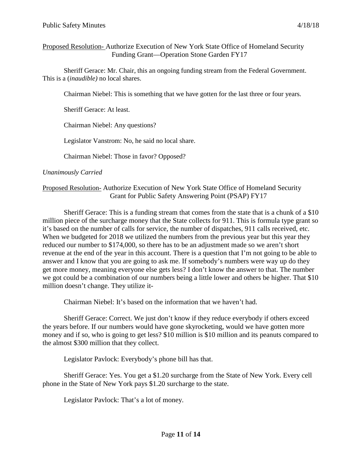### Proposed Resolution- Authorize Execution of New York State Office of Homeland Security Funding Grant—Operation Stone Garden FY17

Sheriff Gerace: Mr. Chair, this an ongoing funding stream from the Federal Government. This is a (*inaudible)* no local shares.

Chairman Niebel: This is something that we have gotten for the last three or four years.

Sheriff Gerace: At least.

Chairman Niebel: Any questions?

Legislator Vanstrom: No, he said no local share.

Chairman Niebel: Those in favor? Opposed?

#### *Unanimously Carried*

### Proposed Resolution- Authorize Execution of New York State Office of Homeland Security Grant for Public Safety Answering Point (PSAP) FY17

Sheriff Gerace: This is a funding stream that comes from the state that is a chunk of a \$10 million piece of the surcharge money that the State collects for 911. This is formula type grant so it's based on the number of calls for service, the number of dispatches, 911 calls received, etc. When we budgeted for 2018 we utilized the numbers from the previous year but this year they reduced our number to \$174,000, so there has to be an adjustment made so we aren't short revenue at the end of the year in this account. There is a question that I'm not going to be able to answer and I know that you are going to ask me. If somebody's numbers were way up do they get more money, meaning everyone else gets less? I don't know the answer to that. The number we got could be a combination of our numbers being a little lower and others be higher. That \$10 million doesn't change. They utilize it-

Chairman Niebel: It's based on the information that we haven't had.

Sheriff Gerace: Correct. We just don't know if they reduce everybody if others exceed the years before. If our numbers would have gone skyrocketing, would we have gotten more money and if so, who is going to get less? \$10 million is \$10 million and its peanuts compared to the almost \$300 million that they collect.

Legislator Pavlock: Everybody's phone bill has that.

Sheriff Gerace: Yes. You get a \$1.20 surcharge from the State of New York. Every cell phone in the State of New York pays \$1.20 surcharge to the state.

Legislator Pavlock: That's a lot of money.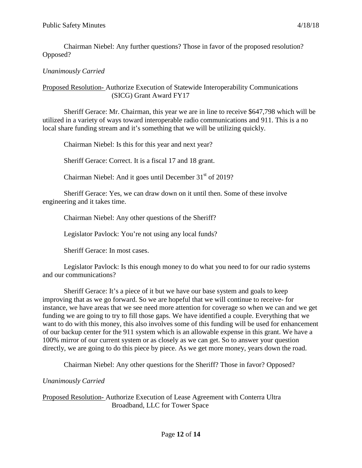Chairman Niebel: Any further questions? Those in favor of the proposed resolution? Opposed?

# *Unanimously Carried*

### Proposed Resolution- Authorize Execution of Statewide Interoperability Communications (SICG) Grant Award FY17

Sheriff Gerace: Mr. Chairman, this year we are in line to receive \$647,798 which will be utilized in a variety of ways toward interoperable radio communications and 911. This is a no local share funding stream and it's something that we will be utilizing quickly.

Chairman Niebel: Is this for this year and next year?

Sheriff Gerace: Correct. It is a fiscal 17 and 18 grant.

Chairman Niebel: And it goes until December  $31<sup>st</sup>$  of 2019?

Sheriff Gerace: Yes, we can draw down on it until then. Some of these involve engineering and it takes time.

Chairman Niebel: Any other questions of the Sheriff?

Legislator Pavlock: You're not using any local funds?

Sheriff Gerace: In most cases.

Legislator Pavlock: Is this enough money to do what you need to for our radio systems and our communications?

Sheriff Gerace: It's a piece of it but we have our base system and goals to keep improving that as we go forward. So we are hopeful that we will continue to receive- for instance, we have areas that we see need more attention for coverage so when we can and we get funding we are going to try to fill those gaps. We have identified a couple. Everything that we want to do with this money, this also involves some of this funding will be used for enhancement of our backup center for the 911 system which is an allowable expense in this grant. We have a 100% mirror of our current system or as closely as we can get. So to answer your question directly, we are going to do this piece by piece. As we get more money, years down the road.

Chairman Niebel: Any other questions for the Sheriff? Those in favor? Opposed?

*Unanimously Carried*

Proposed Resolution- Authorize Execution of Lease Agreement with Conterra Ultra Broadband, LLC for Tower Space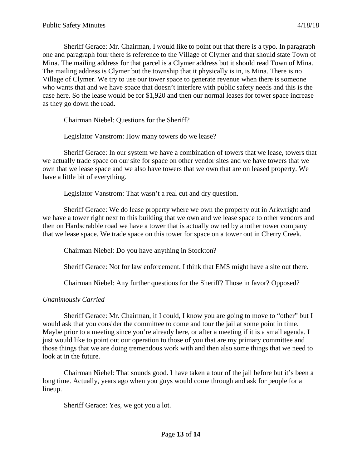Sheriff Gerace: Mr. Chairman, I would like to point out that there is a typo. In paragraph one and paragraph four there is reference to the Village of Clymer and that should state Town of Mina. The mailing address for that parcel is a Clymer address but it should read Town of Mina. The mailing address is Clymer but the township that it physically is in, is Mina. There is no Village of Clymer. We try to use our tower space to generate revenue when there is someone who wants that and we have space that doesn't interfere with public safety needs and this is the case here. So the lease would be for \$1,920 and then our normal leases for tower space increase as they go down the road.

Chairman Niebel: Questions for the Sheriff?

Legislator Vanstrom: How many towers do we lease?

Sheriff Gerace: In our system we have a combination of towers that we lease, towers that we actually trade space on our site for space on other vendor sites and we have towers that we own that we lease space and we also have towers that we own that are on leased property. We have a little bit of everything.

Legislator Vanstrom: That wasn't a real cut and dry question.

Sheriff Gerace: We do lease property where we own the property out in Arkwright and we have a tower right next to this building that we own and we lease space to other vendors and then on Hardscrabble road we have a tower that is actually owned by another tower company that we lease space. We trade space on this tower for space on a tower out in Cherry Creek.

Chairman Niebel: Do you have anything in Stockton?

Sheriff Gerace: Not for law enforcement. I think that EMS might have a site out there.

Chairman Niebel: Any further questions for the Sheriff? Those in favor? Opposed?

### *Unanimously Carried*

Sheriff Gerace: Mr. Chairman, if I could, I know you are going to move to "other" but I would ask that you consider the committee to come and tour the jail at some point in time. Maybe prior to a meeting since you're already here, or after a meeting if it is a small agenda. I just would like to point out our operation to those of you that are my primary committee and those things that we are doing tremendous work with and then also some things that we need to look at in the future.

Chairman Niebel: That sounds good. I have taken a tour of the jail before but it's been a long time. Actually, years ago when you guys would come through and ask for people for a lineup.

Sheriff Gerace: Yes, we got you a lot.